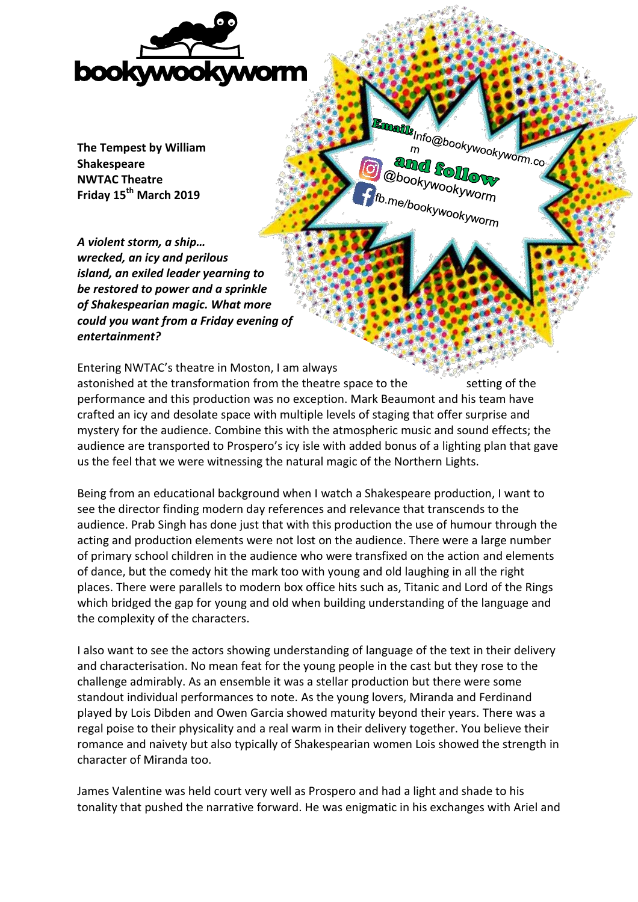

**The Tempest by William Shakespeare NWTAC Theatre Friday 15th March 2019**

**Afte** Info@bookywookyworm.com amd Sollo **@bookywookyworm** fb.me/bookywookyworm

*A violent storm, a ship… wrecked, an icy and perilous island, an exiled leader yearning to be restored to power and a sprinkle of Shakespearian magic. What more could you want from a Friday evening of entertainment?* 

Entering NWTAC's theatre in Moston, I am always astonished at the transformation from the theatre space to the setting of the performance and this production was no exception. Mark Beaumont and his team have crafted an icy and desolate space with multiple levels of staging that offer surprise and mystery for the audience. Combine this with the atmospheric music and sound effects; the audience are transported to Prospero's icy isle with added bonus of a lighting plan that gave us the feel that we were witnessing the natural magic of the Northern Lights.

Being from an educational background when I watch a Shakespeare production, I want to see the director finding modern day references and relevance that transcends to the audience. Prab Singh has done just that with this production the use of humour through the acting and production elements were not lost on the audience. There were a large number of primary school children in the audience who were transfixed on the action and elements of dance, but the comedy hit the mark too with young and old laughing in all the right places. There were parallels to modern box office hits such as, Titanic and Lord of the Rings which bridged the gap for young and old when building understanding of the language and the complexity of the characters.

I also want to see the actors showing understanding of language of the text in their delivery and characterisation. No mean feat for the young people in the cast but they rose to the challenge admirably. As an ensemble it was a stellar production but there were some standout individual performances to note. As the young lovers, Miranda and Ferdinand played by Lois Dibden and Owen Garcia showed maturity beyond their years. There was a regal poise to their physicality and a real warm in their delivery together. You believe their romance and naivety but also typically of Shakespearian women Lois showed the strength in character of Miranda too.

James Valentine was held court very well as Prospero and had a light and shade to his tonality that pushed the narrative forward. He was enigmatic in his exchanges with Ariel and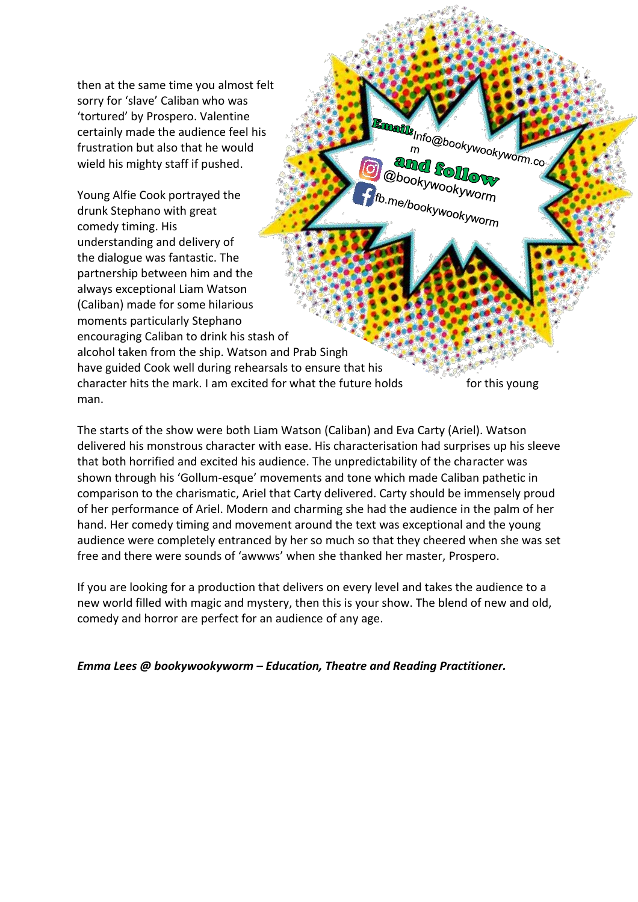then at the same time you almost felt sorry for 'slave' Caliban who was 'tortured' by Prospero. Valentine certainly made the audience feel his frustration but also that he would wield his mighty staff if pushed.

Young Alfie Cook portrayed the drunk Stephano with great comedy timing. His understanding and delivery of the dialogue was fantastic. The partnership between him and the always exceptional Liam Watson (Caliban) made for some hilarious moments particularly Stephano encouraging Caliban to drink his stash of

man.

alcohol taken from the ship. Watson and Prab Singh

have guided Cook well during rehearsals to ensure that his

character hits the mark. I am excited for what the future holds for this young

**Rills**Info@bookywookyworm.co

and follow **@bookywookyworm** 

tb.me/bookywookyworm

The starts of the show were both Liam Watson (Caliban) and Eva Carty (Ariel). Watson delivered his monstrous character with ease. His characterisation had surprises up his sleeve that both horrified and excited his audience. The unpredictability of the character was shown through his 'Gollum-esque' movements and tone which made Caliban pathetic in comparison to the charismatic, Ariel that Carty delivered. Carty should be immensely proud of her performance of Ariel. Modern and charming she had the audience in the palm of her hand. Her comedy timing and movement around the text was exceptional and the young audience were completely entranced by her so much so that they cheered when she was set free and there were sounds of 'awwws' when she thanked her master, Prospero.

If you are looking for a production that delivers on every level and takes the audience to a new world filled with magic and mystery, then this is your show. The blend of new and old, comedy and horror are perfect for an audience of any age.

*Emma Lees @ bookywookyworm – Education, Theatre and Reading Practitioner.*